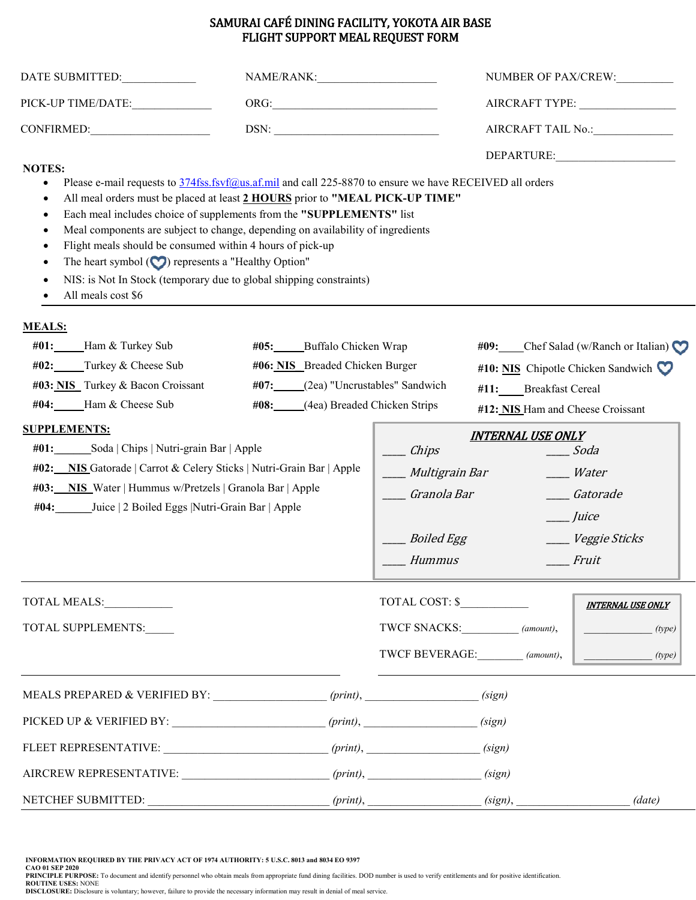## SAMURAI CAFÉ DINING FACILITY, YOKOTA AIR BASE FLIGHT SUPPORT MEAL REQUEST FORM

| DATE SUBMITTED:                                                                                                                                                                                                                                                                                                                                                                                                                                                                                                                                                                                                                                                                     | NAME/RANK:                                                                                                                                                                                                                                                                                                                                                           |                                                                                                                            | NUMBER OF PAX/CREW:<br>AIRCRAFT TAIL No.:                                                                                                         |  |
|-------------------------------------------------------------------------------------------------------------------------------------------------------------------------------------------------------------------------------------------------------------------------------------------------------------------------------------------------------------------------------------------------------------------------------------------------------------------------------------------------------------------------------------------------------------------------------------------------------------------------------------------------------------------------------------|----------------------------------------------------------------------------------------------------------------------------------------------------------------------------------------------------------------------------------------------------------------------------------------------------------------------------------------------------------------------|----------------------------------------------------------------------------------------------------------------------------|---------------------------------------------------------------------------------------------------------------------------------------------------|--|
| PICK-UP TIME/DATE:______________                                                                                                                                                                                                                                                                                                                                                                                                                                                                                                                                                                                                                                                    |                                                                                                                                                                                                                                                                                                                                                                      |                                                                                                                            |                                                                                                                                                   |  |
|                                                                                                                                                                                                                                                                                                                                                                                                                                                                                                                                                                                                                                                                                     | $DSN: \begin{tabular}{ c c c } \hline \rule{0.2cm}{.2cm} & \rule{0.2cm}{.2cm} \rule{0.2cm}{.2cm} \rule{0.2cm}{.2cm} \rule{0.2cm}{.2cm} \rule{0.2cm}{.2cm} \rule{0.2cm}{.2cm} \rule{0.2cm}{.2cm} \rule{0.2cm}{.2cm} \rule{0.2cm}{.2cm} \rule{0.2cm}{.2cm} \rule{0.2cm}{.2cm} \rule{0.2cm}{.2cm} \rule{0.2cm}{.2cm} \rule{0.2cm}{.2cm} \rule{0.2cm}{.2cm} \rule{0.2cm$ |                                                                                                                            |                                                                                                                                                   |  |
| <b>NOTES:</b><br>Please e-mail requests to 374fss.fsvf@us.af.mil and call 225-8870 to ensure we have RECEIVED all orders<br>$\bullet$<br>All meal orders must be placed at least 2 HOURS prior to "MEAL PICK-UP TIME"<br>$\bullet$<br>Each meal includes choice of supplements from the "SUPPLEMENTS" list<br>$\bullet$<br>Meal components are subject to change, depending on availability of ingredients<br>٠<br>Flight meals should be consumed within 4 hours of pick-up<br>$\bullet$<br>The heart symbol $\left(\bigcirc\right)$ represents a "Healthy Option"<br>$\epsilon$<br>NIS: is Not In Stock (temporary due to global shipping constraints)<br>٠<br>All meals cost \$6 |                                                                                                                                                                                                                                                                                                                                                                      |                                                                                                                            | DEPARTURE:                                                                                                                                        |  |
| <b>MEALS:</b><br>#01: Ham & Turkey Sub<br>$#02$ : Turkey & Cheese Sub<br>#03: NIS Turkey & Bacon Croissant<br>#04: Ham & Cheese Sub<br><b>SUPPLEMENTS:</b><br>#01: Soda   Chips   Nutri-grain Bar   Apple<br>#02: NIS Gatorade   Carrot & Celery Sticks   Nutri-Grain Bar   Apple<br>#03: NIS Water   Hummus w/Pretzels   Granola Bar   Apple<br>#04: Juice   2 Boiled Eggs   Nutri-Grain Bar   Apple                                                                                                                                                                                                                                                                               | #05: Buffalo Chicken Wrap<br>#06: NIS Breaded Chicken Burger<br>#07: (2ea) "Uncrustables" Sandwich<br>#08: (4ea) Breaded Chicken Strips<br>$\equiv$ Chips<br>Granola Bar<br>Boiled Egg<br>Hummus                                                                                                                                                                     | #11: Breakfast Cereal<br>#12: NIS Ham and Cheese Croissant<br><b>INTERNAL USE ONLY</b><br>____ Multigrain Bar<br>___ Juice | #09: Chef Salad (w/Ranch or Italian)<br>#10: NIS Chipotle Chicken Sandwich<br>Soda<br>___ Water<br><b>Catorade</b><br>____ Veggie Sticks<br>Fruit |  |
| <b>TOTAL MEALS:</b><br>TOTAL SUPPLEMENTS:                                                                                                                                                                                                                                                                                                                                                                                                                                                                                                                                                                                                                                           |                                                                                                                                                                                                                                                                                                                                                                      | TOTAL COST: \$<br>TWCF SNACKS: (amount),<br>TWCF BEVERAGE: (amount),                                                       | <b>INTERNAL USE ONLY</b><br>(type)<br>(type)                                                                                                      |  |
| MEALS PREPARED & VERIFIED BY: ______________________ (print), ___________________(sign)<br>FLEET REPRESENTATIVE: (sign)                                                                                                                                                                                                                                                                                                                                                                                                                                                                                                                                                             |                                                                                                                                                                                                                                                                                                                                                                      |                                                                                                                            |                                                                                                                                                   |  |
| AIRCREW REPRESENTATIVE: (sign)                                                                                                                                                                                                                                                                                                                                                                                                                                                                                                                                                                                                                                                      |                                                                                                                                                                                                                                                                                                                                                                      |                                                                                                                            |                                                                                                                                                   |  |

INFORMATION REQUIRED BY THE PRIVACY ACT OF 1974 AUTHORITY: 5 U.S.C. 8013 and 8034 EO 9397<br>PAO 01 SEP 2020<br>PRINCIPLE PURPOSE: To document and identify personnel who obtain meals from appropriate fund dining facilities. DOD